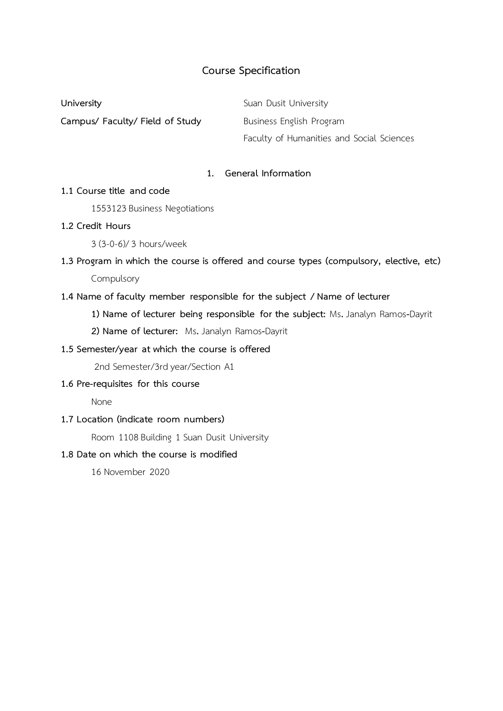# **Course Specification**

**University Suan Dusit University Campus/ Faculty/ Field of Study Business English Program** Faculty of Humanities and Social Sciences

## **1. General Information**

### **1.1 Course title and code**

1553123 Business Negotiations

### **1.2 Credit Hours**

3 (3-0-6)/ 3 hours/week

# **1.3 Program in which the course is offered and course types (compulsory, elective, etc)** Compulsory

### **1.4 Name of faculty member responsible for the subject / Name of lecturer**

- **1) Name of lecturer being responsible for the subject:** Ms**.** Janalyn Ramos**-**Dayrit
- **2) Name of lecturer:** Ms**.** Janalyn Ramos**-**Dayrit

# **1.5 Semester/year at which the course is offered**

2nd Semester/3rd year/Section A1

# **1.6 Pre-requisites for this course**

None

### **1.7 Location (indicate room numbers)**

Room 1108 Building 1 Suan Dusit University

### **1.8 Date on which the course is modified**

16 November 2020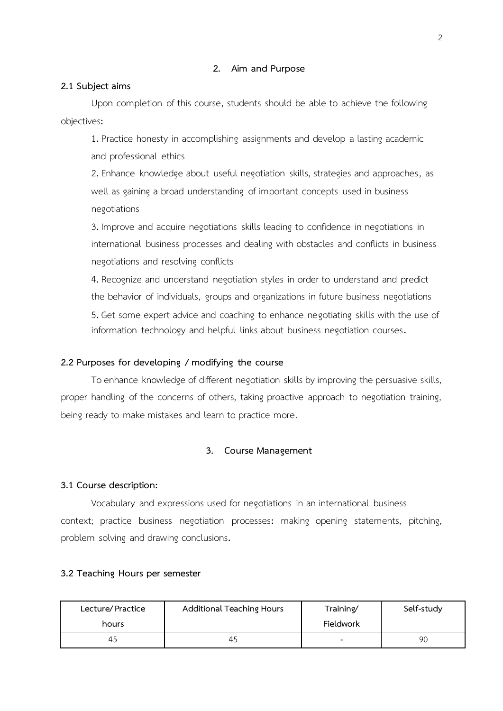### **2. Aim and Purpose**

### **2.1 Subject aims**

Upon completion of this course, students should be able to achieve the following objectives**:**

1**.** Practice honesty in accomplishing assignments and develop a lasting academic and professional ethics

2**.** Enhance knowledge about useful negotiation skills, strategies and approaches, as well as gaining a broad understanding of important concepts used in business negotiations

3**.** Improve and acquire negotiations skills leading to confidence in negotiations in international business processes and dealing with obstacles and conflicts in business negotiations and resolving conflicts

4**.** Recognize and understand negotiation styles in order to understand and predict the behavior of individuals, groups and organizations in future business negotiations 5**.** Get some expert advice and coaching to enhance negotiating skills with the use of information technology and helpful links about business negotiation courses**.**

## **2.2 Purposes for developing / modifying the course**

To enhance knowledge of different negotiation skills by improving the persuasive skills, proper handling of the concerns of others, taking proactive approach to negotiation training, being ready to make mistakes and learn to practice more.

### **3. Course Management**

### **3.1 Course description:**

Vocabulary and expressions used for negotiations in an international business context; practice business negotiation processes**:** making opening statements, pitching, problem solving and drawing conclusions**.**

### **3.2 Teaching Hours per semester**

| Lecture/Practice | Additional Teaching Hours | Training/ | Self-study |
|------------------|---------------------------|-----------|------------|
| hours            |                           | Fieldwork |            |
| 45               | 45                        |           | 90         |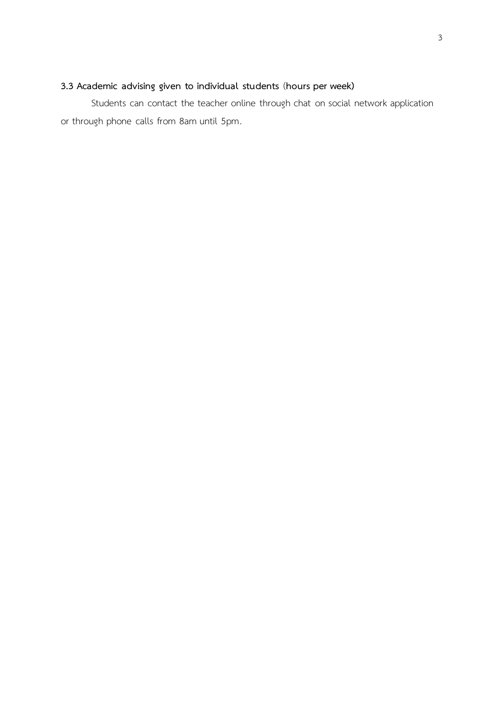# **3.3 Academic advising given to individual students** (**hours per week)**

Students can contact the teacher online through chat on social network application or through phone calls from 8am until 5pm.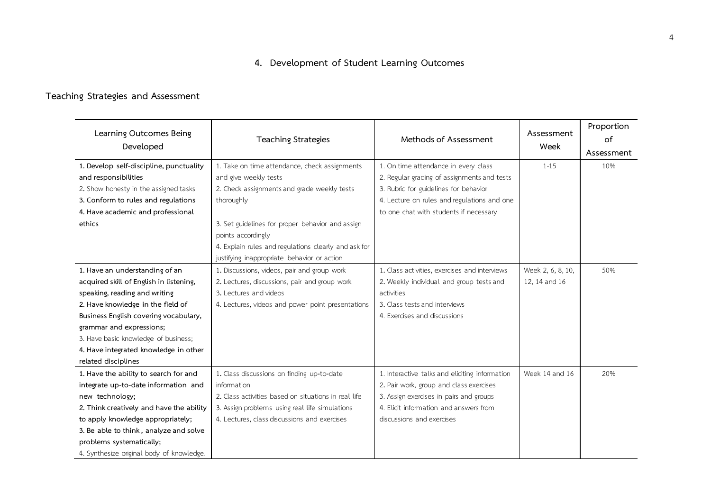# **4. Development of Student Learning Outcomes**

# **Teaching Strategies and Assessment**

| Learning Outcomes Being<br>Developed      | <b>Teaching Strategies</b>                           | Methods of Assessment                          | Assessment<br>Week | Proportion<br>of<br>Assessment |
|-------------------------------------------|------------------------------------------------------|------------------------------------------------|--------------------|--------------------------------|
| 1. Develop self-discipline, punctuality   | 1. Take on time attendance, check assignments        | 1. On time attendance in every class           | $1 - 15$           | 10%                            |
| and responsibilities                      | and give weekly tests                                | 2. Regular grading of assignments and tests    |                    |                                |
| 2. Show honesty in the assigned tasks     | 2. Check assignments and grade weekly tests          | 3. Rubric for guidelines for behavior          |                    |                                |
| 3. Conform to rules and regulations       | thoroughly                                           | 4. Lecture on rules and regulations and one    |                    |                                |
| 4. Have academic and professional         |                                                      | to one chat with students if necessary         |                    |                                |
| ethics                                    | 3. Set guidelines for proper behavior and assign     |                                                |                    |                                |
|                                           | points accordingly                                   |                                                |                    |                                |
|                                           | 4. Explain rules and regulations clearly and ask for |                                                |                    |                                |
|                                           | justifying inappropriate behavior or action          |                                                |                    |                                |
| 1. Have an understanding of an            | 1. Discussions, videos, pair and group work          | 1. Class activities, exercises and interviews  | Week 2, 6, 8, 10,  | 50%                            |
| acquired skill of English in listening,   | 2. Lectures, discussions, pair and group work        | 2. Weekly individual and group tests and       | 12, 14 and 16      |                                |
| speaking, reading and writing             | 3. Lectures and videos                               | activities                                     |                    |                                |
| 2. Have knowledge in the field of         | 4. Lectures, videos and power point presentations    | 3. Class tests and interviews                  |                    |                                |
| Business English covering vocabulary,     |                                                      | 4. Exercises and discussions                   |                    |                                |
| grammar and expressions;                  |                                                      |                                                |                    |                                |
| 3. Have basic knowledge of business;      |                                                      |                                                |                    |                                |
| 4. Have integrated knowledge in other     |                                                      |                                                |                    |                                |
| related disciplines                       |                                                      |                                                |                    |                                |
| 1. Have the ability to search for and     | 1. Class discussions on finding up-to-date           | 1. Interactive talks and eliciting information | Week 14 and 16     | 20%                            |
| integrate up-to-date information and      | information                                          | 2. Pair work, group and class exercises        |                    |                                |
| new technology;                           | 2. Class activities based on situations in real life | 3. Assign exercises in pairs and groups        |                    |                                |
| 2. Think creatively and have the ability  | 3. Assign problems using real life simulations       | 4. Elicit information and answers from         |                    |                                |
| to apply knowledge appropriately;         | 4. Lectures, class discussions and exercises         | discussions and exercises                      |                    |                                |
| 3. Be able to think, analyze and solve    |                                                      |                                                |                    |                                |
| problems systematically;                  |                                                      |                                                |                    |                                |
| 4. Synthesize original body of knowledge. |                                                      |                                                |                    |                                |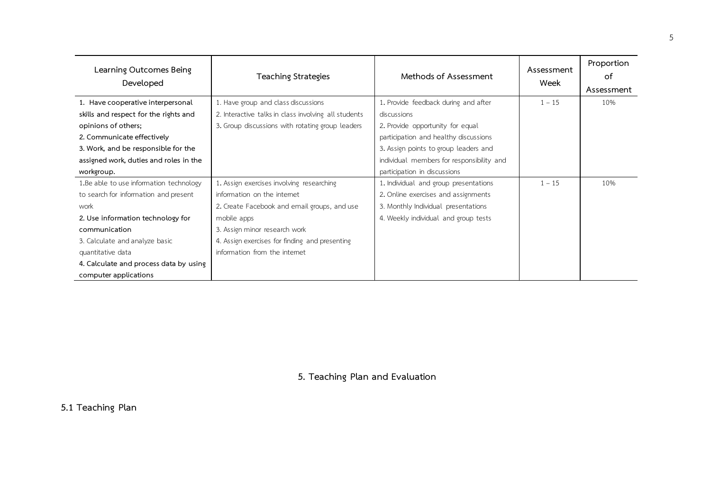| Learning Outcomes Being<br>Developed     | <b>Teaching Strategies</b>                           | Methods of Assessment                     | Assessment<br>Week | Proportion<br>of |
|------------------------------------------|------------------------------------------------------|-------------------------------------------|--------------------|------------------|
|                                          |                                                      |                                           |                    | Assessment       |
| 1. Have cooperative interpersonal        | 1. Have group and class discussions                  | 1. Provide feedback during and after      | $1 - 15$           | 10%              |
| skills and respect for the rights and    | 2. Interactive talks in class involving all students | discussions                               |                    |                  |
| opinions of others;                      | 3. Group discussions with rotating group leaders     | 2. Provide opportunity for equal          |                    |                  |
| 2. Communicate effectively               |                                                      | participation and healthy discussions     |                    |                  |
| 3. Work, and be responsible for the      |                                                      | 3. Assign points to group leaders and     |                    |                  |
| assigned work, duties and roles in the   |                                                      | individual members for responsibility and |                    |                  |
| workgroup.                               |                                                      | participation in discussions              |                    |                  |
| 1. Be able to use information technology | 1. Assign exercises involving researching            | 1. Individual and group presentations     | $1 - 15$           | 10%              |
| to search for information and present    | information on the internet                          | 2. Online exercises and assignments       |                    |                  |
| work                                     | 2. Create Facebook and email groups, and use         | 3. Monthly Individual presentations       |                    |                  |
| 2. Use information technology for        | mobile apps                                          | 4. Weekly individual and group tests      |                    |                  |
| communication                            | 3. Assign minor research work                        |                                           |                    |                  |
| 3. Calculate and analyze basic           | 4. Assign exercises for finding and presenting       |                                           |                    |                  |
| quantitative data                        | information from the internet                        |                                           |                    |                  |
| 4. Calculate and process data by using   |                                                      |                                           |                    |                  |
| computer applications                    |                                                      |                                           |                    |                  |

**5. Teaching Plan and Evaluation**

**5.1 Teaching Plan**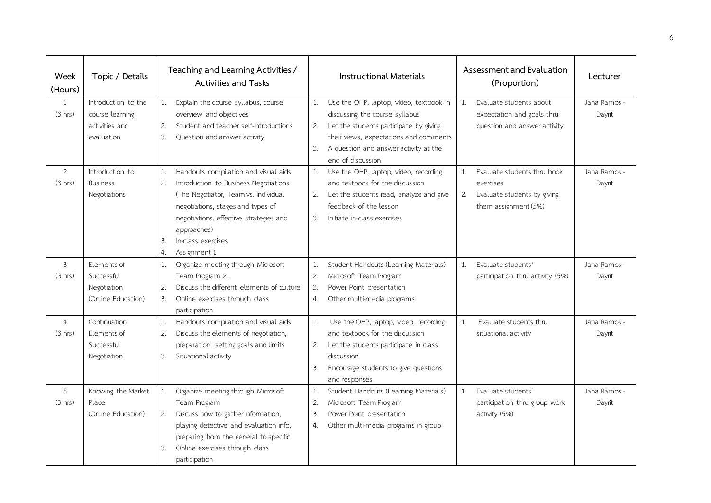| Week<br>(Hours) | Topic / Details     |    | Teaching and Learning Activities /<br><b>Activities and Tasks</b> |    | <b>Instructional Materials</b>          |       | Assessment and Evaluation<br>(Proportion) | Lecturer     |
|-----------------|---------------------|----|-------------------------------------------------------------------|----|-----------------------------------------|-------|-------------------------------------------|--------------|
| $\mathbf{1}$    | Introduction to the | 1. | Explain the course syllabus, course                               | 1. | Use the OHP, laptop, video, textbook in | 1.    | Evaluate students about                   | Jana Ramos - |
| (3 hrs)         | course learning     |    | overview and objectives                                           |    | discussing the course syllabus          |       | expectation and goals thru                | Dayrit       |
|                 | activities and      | 2. | Student and teacher self-introductions                            | 2. | Let the students participate by giving  |       | question and answer activity              |              |
|                 | evaluation          | 3. | Question and answer activity                                      |    | their views, expectations and comments  |       |                                           |              |
|                 |                     |    |                                                                   | 3. | A question and answer activity at the   |       |                                           |              |
|                 |                     |    |                                                                   |    | end of discussion                       |       |                                           |              |
| $\overline{2}$  | Introduction to     | 1. | Handouts compilation and visual aids                              | 1. | Use the OHP, laptop, video, recording   | $1$ . | Evaluate students thru book               | Jana Ramos - |
| (3 hrs)         | <b>Business</b>     | 2. | Introduction to Business Negotiations                             |    | and textbook for the discussion         |       | exercises                                 | Dayrit       |
|                 | Negotiations        |    | (The Negotiator, Team vs. Individual                              | 2. | Let the students read, analyze and give | 2.    | Evaluate students by giving               |              |
|                 |                     |    | negotiations, stages and types of                                 |    | feedback of the lesson                  |       | them assignment (5%)                      |              |
|                 |                     |    | negotiations, effective strategies and                            | 3. | Initiate in-class exercises             |       |                                           |              |
|                 |                     |    | approaches)                                                       |    |                                         |       |                                           |              |
|                 |                     | 3. | In-class exercises                                                |    |                                         |       |                                           |              |
|                 |                     | 4. | Assignment 1                                                      |    |                                         |       |                                           |              |
| 3               | Elements of         | 1. | Organize meeting through Microsoft                                | 1. | Student Handouts (Learning Materials)   | $1$ . | Evaluate students'                        | Jana Ramos - |
| (3 hrs)         | Successful          |    | Team Program 2.                                                   | 2. | Microsoft Team Program                  |       | participation thru activity (5%)          | Dayrit       |
|                 | Negotiation         | 2. | Discuss the different elements of culture                         | 3. | Power Point presentation                |       |                                           |              |
|                 | (Online Education)  | 3. | Online exercises through class                                    | 4. | Other multi-media programs              |       |                                           |              |
|                 |                     |    | participation                                                     |    |                                         |       |                                           |              |
| $\overline{4}$  | Continuation        | 1. | Handouts compilation and visual aids                              | 1. | Use the OHP, laptop, video, recording   | 1.    | Evaluate students thru                    | Jana Ramos - |
| (3 hrs)         | Elements of         | 2. | Discuss the elements of negotiation,                              |    | and textbook for the discussion         |       | situational activity                      | Dayrit       |
|                 | Successful          |    | preparation, setting goals and limits                             | 2. | Let the students participate in class   |       |                                           |              |
|                 | Negotiation         | 3. | Situational activity                                              |    | discussion                              |       |                                           |              |
|                 |                     |    |                                                                   | 3. | Encourage students to give questions    |       |                                           |              |
|                 |                     |    |                                                                   |    | and responses                           |       |                                           |              |
| 5               | Knowing the Market  | 1. | Organize meeting through Microsoft                                | 1. | Student Handouts (Learning Materials)   | 1.    | Evaluate students'                        | Jana Ramos - |
| (3 hrs)         | Place               |    | Team Program                                                      | 2. | Microsoft Team Program                  |       | participation thru group work             | Dayrit       |
|                 | (Online Education)  | 2. | Discuss how to gather information,                                | 3. | Power Point presentation                |       | activity (5%)                             |              |
|                 |                     |    | playing detective and evaluation info,                            | 4. | Other multi-media programs in group     |       |                                           |              |
|                 |                     |    | preparing from the general to specific                            |    |                                         |       |                                           |              |
|                 |                     | 3. | Online exercises through class                                    |    |                                         |       |                                           |              |
|                 |                     |    | participation                                                     |    |                                         |       |                                           |              |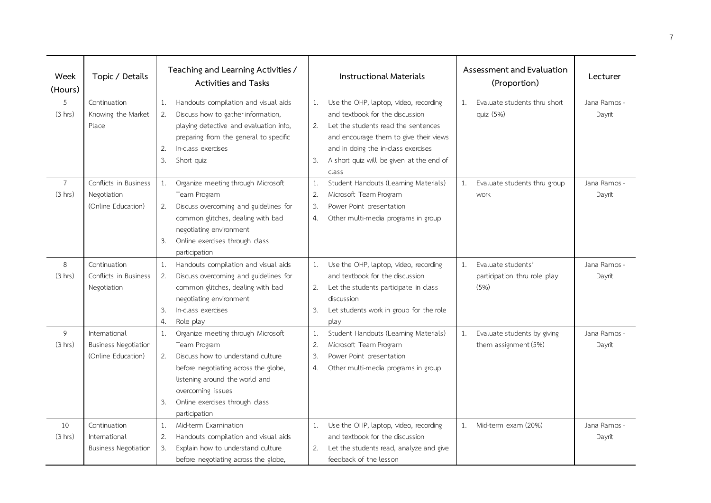| Week<br>(Hours) | Topic / Details             |    | Teaching and Learning Activities /<br><b>Activities and Tasks</b> |    | <b>Instructional Materials</b>           |    | Assessment and Evaluation<br>(Proportion) | Lecturer     |
|-----------------|-----------------------------|----|-------------------------------------------------------------------|----|------------------------------------------|----|-------------------------------------------|--------------|
| 5               | Continuation                | 1. | Handouts compilation and visual aids                              | 1. | Use the OHP, laptop, video, recording    | 1. | Evaluate students thru short              | Jana Ramos - |
| (3 hrs)         | Knowing the Market          | 2. | Discuss how to gather information,                                |    | and textbook for the discussion          |    | quiz (5%)                                 | Dayrit       |
|                 | Place                       |    | playing detective and evaluation info,                            | 2. | Let the students read the sentences      |    |                                           |              |
|                 |                             |    | preparing from the general to specific                            |    | and encourage them to give their views   |    |                                           |              |
|                 |                             | 2. | In-class exercises                                                |    | and in doing the in-class exercises      |    |                                           |              |
|                 |                             | 3. | Short quiz                                                        | 3. | A short quiz will be given at the end of |    |                                           |              |
|                 |                             |    |                                                                   |    | class                                    |    |                                           |              |
| $\overline{7}$  | Conflicts in Business       | 1. | Organize meeting through Microsoft                                | 1. | Student Handouts (Learning Materials)    | 1. | Evaluate students thru group              | Jana Ramos - |
| (3 hrs)         | Negotiation                 |    | Team Program                                                      | 2. | Microsoft Team Program                   |    | work                                      | Dayrit       |
|                 | (Online Education)          | 2. | Discuss overcoming and guidelines for                             | 3. | Power Point presentation                 |    |                                           |              |
|                 |                             |    | common glitches, dealing with bad                                 | 4. | Other multi-media programs in group      |    |                                           |              |
|                 |                             |    | negotiating environment                                           |    |                                          |    |                                           |              |
|                 |                             | 3. | Online exercises through class                                    |    |                                          |    |                                           |              |
|                 |                             |    | participation                                                     |    |                                          |    |                                           |              |
| 8               | Continuation                | 1. | Handouts compilation and visual aids                              | 1. | Use the OHP, laptop, video, recording    | 1. | Evaluate students'                        | Jana Ramos - |
| (3 hrs)         | Conflicts in Business       | 2. | Discuss overcoming and guidelines for                             |    | and textbook for the discussion          |    | participation thru role play              | Dayrit       |
|                 | Negotiation                 |    | common glitches, dealing with bad                                 | 2. | Let the students participate in class    |    | (5%)                                      |              |
|                 |                             |    | negotiating environment                                           |    | discussion                               |    |                                           |              |
|                 |                             | 3. | In-class exercises                                                | 3. | Let students work in group for the role  |    |                                           |              |
|                 |                             | 4. | Role play                                                         |    | play                                     |    |                                           |              |
| 9               | International               | 1. | Organize meeting through Microsoft                                | 1. | Student Handouts (Learning Materials)    | 1. | Evaluate students by giving               | Jana Ramos - |
| (3 hrs)         | <b>Business Negotiation</b> |    | Team Program                                                      | 2. | Microsoft Team Program                   |    | them assignment (5%)                      | Dayrit       |
|                 | (Online Education)          | 2. | Discuss how to understand culture                                 | 3. | Power Point presentation                 |    |                                           |              |
|                 |                             |    | before negotiating across the globe,                              | 4. | Other multi-media programs in group      |    |                                           |              |
|                 |                             |    | listening around the world and                                    |    |                                          |    |                                           |              |
|                 |                             |    | overcoming issues                                                 |    |                                          |    |                                           |              |
|                 |                             | 3. | Online exercises through class                                    |    |                                          |    |                                           |              |
|                 |                             |    | participation                                                     |    |                                          |    |                                           |              |
| 10              | Continuation                | 1. | Mid-term Examination                                              | 1. | Use the OHP, laptop, video, recording    | 1. | Mid-term exam (20%)                       | Jana Ramos - |
| (3 hrs)         | International               | 2. | Handouts compilation and visual aids                              |    | and textbook for the discussion          |    |                                           | Dayrit       |
|                 | <b>Business Negotiation</b> | 3. | Explain how to understand culture                                 | 2. | Let the students read, analyze and give  |    |                                           |              |
|                 |                             |    | before negotiating across the globe,                              |    | feedback of the lesson                   |    |                                           |              |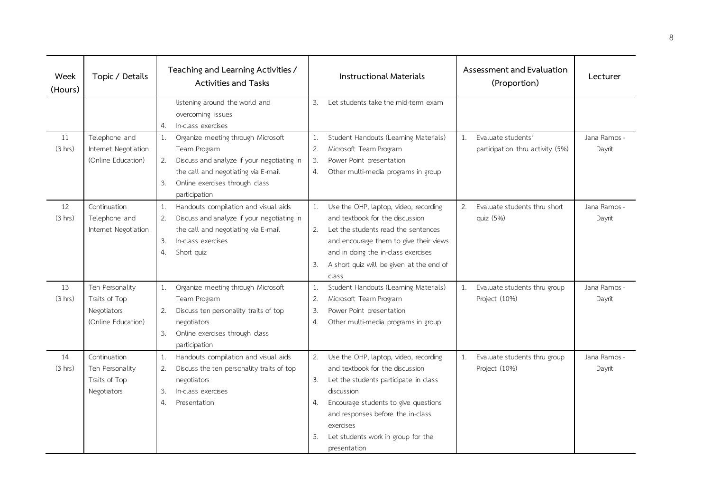| Week<br>(Hours) | Topic / Details      | Teaching and Learning Activities /<br>Activities and Tasks |                                            | <b>Instructional Materials</b> |                                          |    | Assessment and Evaluation<br>(Proportion) | Lecturer     |
|-----------------|----------------------|------------------------------------------------------------|--------------------------------------------|--------------------------------|------------------------------------------|----|-------------------------------------------|--------------|
|                 |                      |                                                            | listening around the world and             | 3.                             | Let students take the mid-term exam      |    |                                           |              |
|                 |                      |                                                            | overcoming issues                          |                                |                                          |    |                                           |              |
|                 |                      | $\mathcal{L}$ .                                            | In-class exercises                         |                                |                                          |    |                                           |              |
| 11              | Telephone and        | 1.                                                         | Organize meeting through Microsoft         | 1.                             | Student Handouts (Learning Materials)    | 1. | Evaluate students'                        | Jana Ramos - |
| (3 hrs)         | Internet Negotiation |                                                            | Team Program                               | 2.                             | Microsoft Team Program                   |    | participation thru activity (5%)          | Dayrit       |
|                 | (Online Education)   | 2.                                                         | Discuss and analyze if your negotiating in | 3.                             | Power Point presentation                 |    |                                           |              |
|                 |                      |                                                            | the call and negotiating via E-mail        | 4.                             | Other multi-media programs in group      |    |                                           |              |
|                 |                      | 3.                                                         | Online exercises through class             |                                |                                          |    |                                           |              |
|                 |                      |                                                            | participation                              |                                |                                          |    |                                           |              |
| 12              | Continuation         | 1.                                                         | Handouts compilation and visual aids       | 1.                             | Use the OHP, laptop, video, recording    | 2. | Evaluate students thru short              | Jana Ramos - |
| (3 hrs)         | Telephone and        | 2.                                                         | Discuss and analyze if your negotiating in |                                | and textbook for the discussion          |    | quiz (5%)                                 | Dayrit       |
|                 | Internet Negotiation |                                                            | the call and negotiating via E-mail        | 2.                             | Let the students read the sentences      |    |                                           |              |
|                 |                      | 3.                                                         | In-class exercises                         |                                | and encourage them to give their views   |    |                                           |              |
|                 |                      | 4.                                                         | Short quiz                                 |                                | and in doing the in-class exercises      |    |                                           |              |
|                 |                      |                                                            |                                            | 3.                             | A short quiz will be given at the end of |    |                                           |              |
|                 |                      |                                                            |                                            |                                | class                                    |    |                                           |              |
| 13              | Ten Personality      | 1.                                                         | Organize meeting through Microsoft         | 1.                             | Student Handouts (Learning Materials)    | 1. | Evaluate students thru group              | Jana Ramos - |
| (3 hrs)         | Traits of Top        |                                                            | Team Program                               | 2.                             | Microsoft Team Program                   |    | Project (10%)                             | Dayrit       |
|                 | Negotiators          | 2.                                                         | Discuss ten personality traits of top      | 3.                             | Power Point presentation                 |    |                                           |              |
|                 | (Online Education)   |                                                            | negotiators                                | 4.                             | Other multi-media programs in group      |    |                                           |              |
|                 |                      | 3.                                                         | Online exercises through class             |                                |                                          |    |                                           |              |
|                 |                      |                                                            | participation                              |                                |                                          |    |                                           |              |
| 14              | Continuation         | 1.                                                         | Handouts compilation and visual aids       | 2.                             | Use the OHP, laptop, video, recording    | 1. | Evaluate students thru group              | Jana Ramos - |
| (3 hrs)         | Ten Personality      | 2.                                                         | Discuss the ten personality traits of top  |                                | and textbook for the discussion          |    | Project (10%)                             | Dayrit       |
|                 | Traits of Top        |                                                            | negotiators                                | 3.                             | Let the students participate in class    |    |                                           |              |
|                 | Negotiators          | 3.                                                         | In-class exercises                         |                                | discussion                               |    |                                           |              |
|                 |                      | 4.                                                         | Presentation                               | 4.                             | Encourage students to give questions     |    |                                           |              |
|                 |                      |                                                            |                                            |                                | and responses before the in-class        |    |                                           |              |
|                 |                      |                                                            |                                            |                                | exercises                                |    |                                           |              |
|                 |                      |                                                            |                                            | 5.                             | Let students work in group for the       |    |                                           |              |
|                 |                      |                                                            |                                            |                                | presentation                             |    |                                           |              |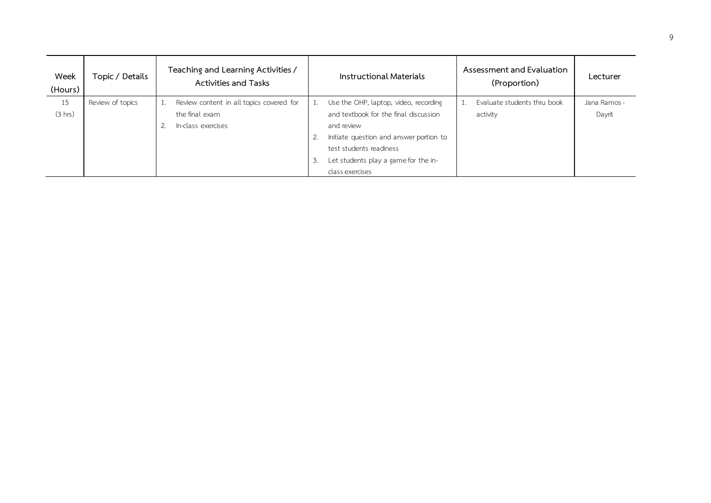| Week<br>(Hours) | Topic / Details  | Teaching and Learning Activities /<br><b>Activities and Tasks</b> |    | Instructional Materials                 | Assessment and Evaluation<br>(Proportion) | Lecturer     |
|-----------------|------------------|-------------------------------------------------------------------|----|-----------------------------------------|-------------------------------------------|--------------|
| 15              | Review of topics | Review content in all topics covered for                          |    | Use the OHP, laptop, video, recording   | Evaluate students thru book               | Jana Ramos - |
| (3 hrs)         |                  | the final exam                                                    |    | and textbook for the final discussion   | activity                                  | Dayrit       |
|                 |                  | In-class exercises<br>2.                                          |    | and review                              |                                           |              |
|                 |                  |                                                                   |    | Initiate question and answer portion to |                                           |              |
|                 |                  |                                                                   |    | test students readiness                 |                                           |              |
|                 |                  |                                                                   | 3. | Let students play a game for the in-    |                                           |              |
|                 |                  |                                                                   |    | class exercises                         |                                           |              |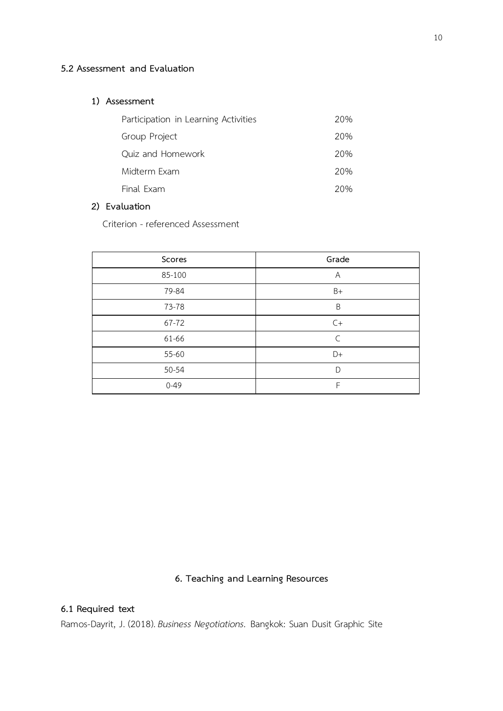# **.2 Assessment and Evaluation**

## **) Assessment**

| Participation in Learning Activities | 20% |
|--------------------------------------|-----|
| Group Project                        | 20% |
| Quiz and Homework                    | 20% |
| Midterm Exam                         | 20% |
| Final Exam                           | 20% |

## **) Evaluation**

Criterion - referenced Assessment

| Scores   | Grade     |
|----------|-----------|
| 85-100   | Α         |
| 79-84    | $B+$      |
| 73-78    | B         |
| 67-72    | $C+$      |
| 61-66    | $\subset$ |
| 55-60    | D+        |
| 50-54    | D         |
| $0 - 49$ | F         |

# **. Teaching and Learning Resources**

# **.1 Required text**

Ramos-Dayrit, J. (2018). *Business Negotiations.* Bangkok: Suan Dusit Graphic Site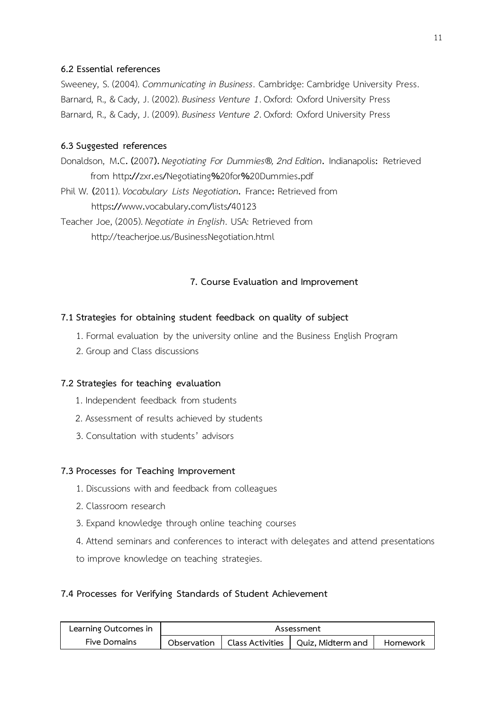## **6.2 Essential references**

Sweeney, S. (2004). *Communicating in Business*. Cambridge: Cambridge University Press. Barnard, R., & Cady, J. (2002). *Business Venture 1*. Oxford: Oxford University Press Barnard, R., & Cady, J. (2009). *Business Venture 2*. Oxford: Oxford University Press

## **6.3 Suggested references**

Donaldson, M**.**C**. (**2007**).** *Negotiating For Dummies®, 2nd Edition***.** Indianapolis**:** Retrieved from http**://**zxr**.**es**/**Negotiating**%**20for**%**20Dummies**.**pdf Phil W. **(**2011). *Vocabulary Lists Negotiation***.** France**:** Retrieved from https**://**www**.**vocabulary**.**com**/**lists**/**40123 Teacher Joe, (2005). *Negotiate in English*. USA: Retrieved from

http://teacherjoe.us/BusinessNegotiation.html

## **7. Course Evaluation and Improvement**

## **7.1 Strategies for obtaining student feedback on quality of subject**

- 1. Formal evaluation by the university online and the Business English Program
- 2. Group and Class discussions

## **7.2 Strategies for teaching evaluation**

- 1. Independent feedback from students
- 2. Assessment of results achieved by students
- 3. Consultation with students' advisors

### **7.3 Processes for Teaching Improvement**

- 1. Discussions with and feedback from colleagues
- 2. Classroom research
- 3. Expand knowledge through online teaching courses
- 4. Attend seminars and conferences to interact with delegates and attend presentations
- to improve knowledge on teaching strategies.

## **7.4 Processes for Verifying Standards of Student Achievement**

| Learning Outcomes in | Assessment  |  |                                      |          |  |  |
|----------------------|-------------|--|--------------------------------------|----------|--|--|
| <b>Five Domains</b>  | Observation |  | Class Activities   Quiz, Midterm and | Homework |  |  |